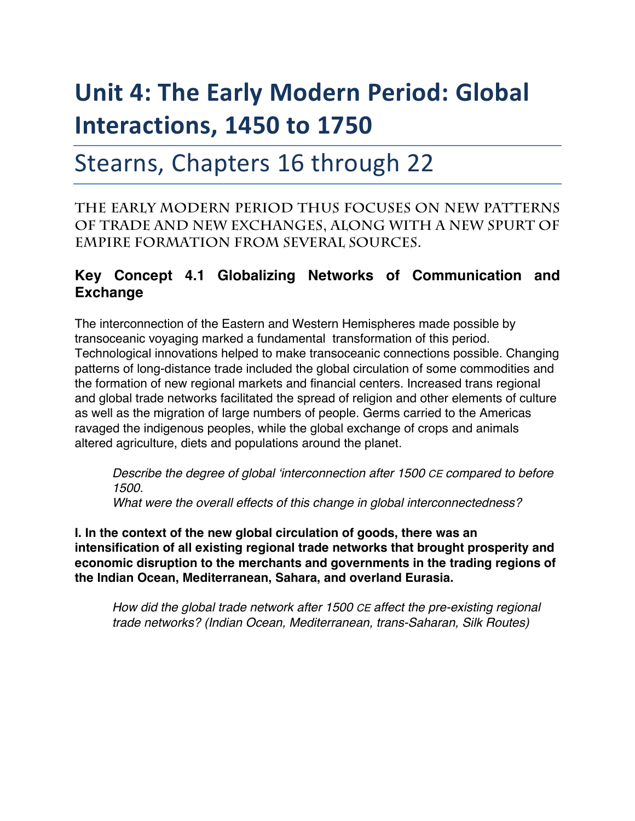# **Unit 4: The Early Modern Period: Global Interactions, 1450 to 1750**

# Stearns, Chapters 16 through 22

**The early modern period thus focuses on new patterns of trade and new exchanges, along with a new spurt of empire formation from several sources.** 

## **Key Concept 4.1 Globalizing Networks of Communication and Exchange**

The interconnection of the Eastern and Western Hemispheres made possible by transoceanic voyaging marked a fundamental transformation of this period. Technological innovations helped to make transoceanic connections possible. Changing patterns of long-distance trade included the global circulation of some commodities and the formation of new regional markets and financial centers. Increased trans regional and global trade networks facilitated the spread of religion and other elements of culture as well as the migration of large numbers of people. Germs carried to the Americas ravaged the indigenous peoples, while the global exchange of crops and animals altered agriculture, diets and populations around the planet.

*Describe the degree of global 'interconnection after 1500 CE compared to before 1500.*

*What were the overall effects of this change in global interconnectedness?*

**I. In the context of the new global circulation of goods, there was an intensification of all existing regional trade networks that brought prosperity and economic disruption to the merchants and governments in the trading regions of the Indian Ocean, Mediterranean, Sahara, and overland Eurasia.**

*How did the global trade network after 1500 CE affect the pre-existing regional trade networks? (Indian Ocean, Mediterranean, trans-Saharan, Silk Routes)*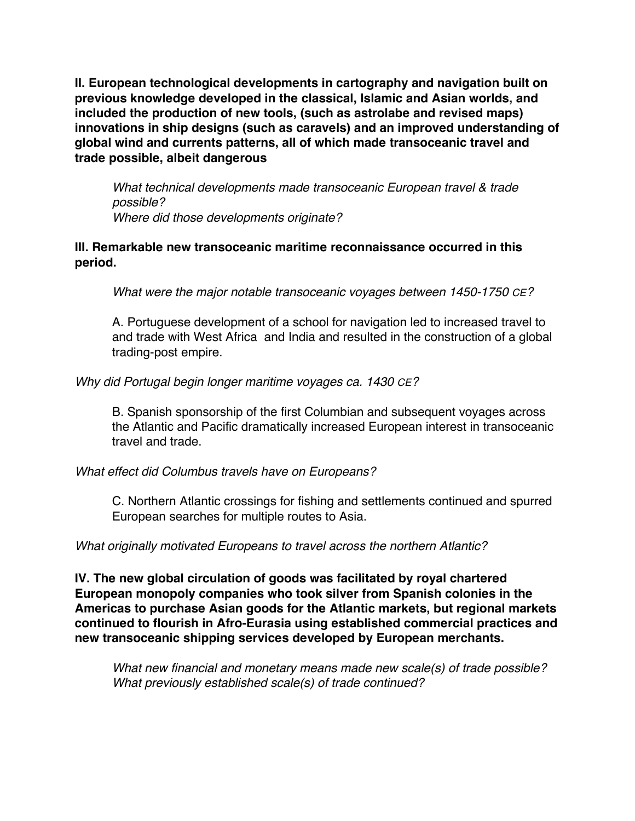**II. European technological developments in cartography and navigation built on previous knowledge developed in the classical, Islamic and Asian worlds, and included the production of new tools, (such as astrolabe and revised maps) innovations in ship designs (such as caravels) and an improved understanding of global wind and currents patterns, all of which made transoceanic travel and trade possible, albeit dangerous**

*What technical developments made transoceanic European travel & trade possible? Where did those developments originate?*

#### **III. Remarkable new transoceanic maritime reconnaissance occurred in this period.**

*What were the major notable transoceanic voyages between 1450-1750 CE?*

A. Portuguese development of a school for navigation led to increased travel to and trade with West Africa and India and resulted in the construction of a global trading-post empire.

#### *Why did Portugal begin longer maritime voyages ca. 1430 CE?*

B. Spanish sponsorship of the first Columbian and subsequent voyages across the Atlantic and Pacific dramatically increased European interest in transoceanic travel and trade.

#### *What effect did Columbus travels have on Europeans?*

C. Northern Atlantic crossings for fishing and settlements continued and spurred European searches for multiple routes to Asia.

*What originally motivated Europeans to travel across the northern Atlantic?*

**IV. The new global circulation of goods was facilitated by royal chartered European monopoly companies who took silver from Spanish colonies in the Americas to purchase Asian goods for the Atlantic markets, but regional markets continued to flourish in Afro-Eurasia using established commercial practices and new transoceanic shipping services developed by European merchants.**

*What new financial and monetary means made new scale(s) of trade possible? What previously established scale(s) of trade continued?*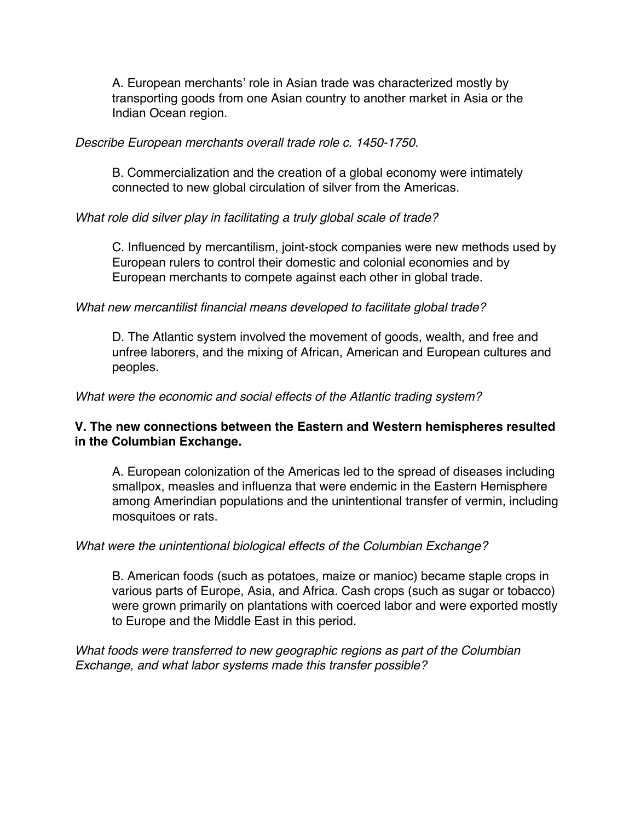A. European merchants' role in Asian trade was characterized mostly by transporting goods from one Asian country to another market in Asia or the Indian Ocean region.

#### *Describe European merchants overall trade role c. 1450-1750.*

B. Commercialization and the creation of a global economy were intimately connected to new global circulation of silver from the Americas.

#### *What role did silver play in facilitating a truly global scale of trade?*

C. Influenced by mercantilism, joint-stock companies were new methods used by European rulers to control their domestic and colonial economies and by European merchants to compete against each other in global trade.

#### *What new mercantilist financial means developed to facilitate global trade?*

D. The Atlantic system involved the movement of goods, wealth, and free and unfree laborers, and the mixing of African, American and European cultures and peoples.

#### *What were the economic and social effects of the Atlantic trading system?*

#### **V. The new connections between the Eastern and Western hemispheres resulted in the Columbian Exchange.**

A. European colonization of the Americas led to the spread of diseases including smallpox, measles and influenza that were endemic in the Eastern Hemisphere among Amerindian populations and the unintentional transfer of vermin, including mosquitoes or rats.

#### *What were the unintentional biological effects of the Columbian Exchange?*

B. American foods (such as potatoes, maize or manioc) became staple crops in various parts of Europe, Asia, and Africa. Cash crops (such as sugar or tobacco) were grown primarily on plantations with coerced labor and were exported mostly to Europe and the Middle East in this period.

*What foods were transferred to new geographic regions as part of the Columbian Exchange, and what labor systems made this transfer possible?*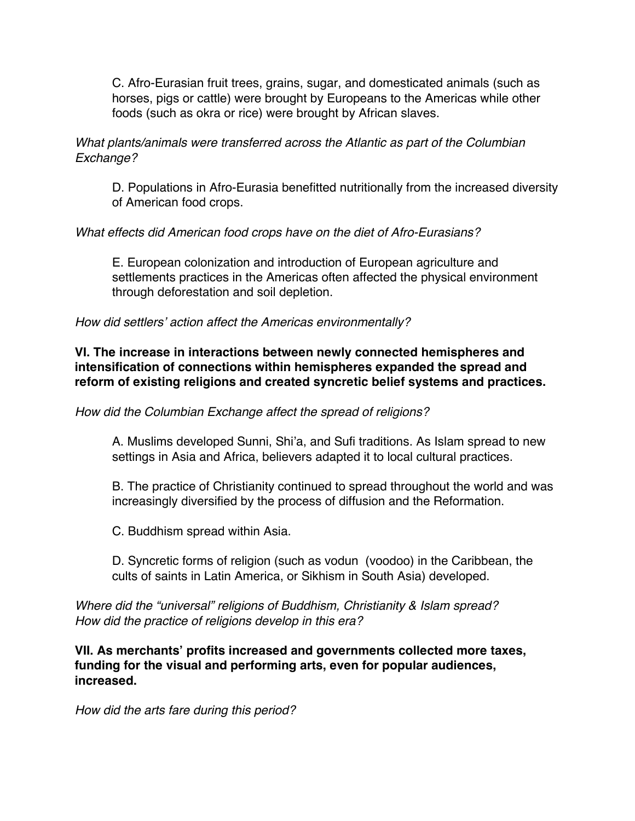C. Afro-Eurasian fruit trees, grains, sugar, and domesticated animals (such as horses, pigs or cattle) were brought by Europeans to the Americas while other foods (such as okra or rice) were brought by African slaves.

#### *What plants/animals were transferred across the Atlantic as part of the Columbian Exchange?*

D. Populations in Afro-Eurasia benefitted nutritionally from the increased diversity of American food crops.

#### *What effects did American food crops have on the diet of Afro-Eurasians?*

E. European colonization and introduction of European agriculture and settlements practices in the Americas often affected the physical environment through deforestation and soil depletion.

#### *How did settlers' action affect the Americas environmentally?*

#### **VI. The increase in interactions between newly connected hemispheres and intensification of connections within hemispheres expanded the spread and reform of existing religions and created syncretic belief systems and practices.**

#### *How did the Columbian Exchange affect the spread of religions?*

A. Muslims developed Sunni, Shi'a, and Sufi traditions. As Islam spread to new settings in Asia and Africa, believers adapted it to local cultural practices.

B. The practice of Christianity continued to spread throughout the world and was increasingly diversified by the process of diffusion and the Reformation.

C. Buddhism spread within Asia.

D. Syncretic forms of religion (such as vodun (voodoo) in the Caribbean, the cults of saints in Latin America, or Sikhism in South Asia) developed.

#### *Where did the "universal" religions of Buddhism, Christianity & Islam spread? How did the practice of religions develop in this era?*

**VII. As merchants' profits increased and governments collected more taxes, funding for the visual and performing arts, even for popular audiences, increased.**

*How did the arts fare during this period?*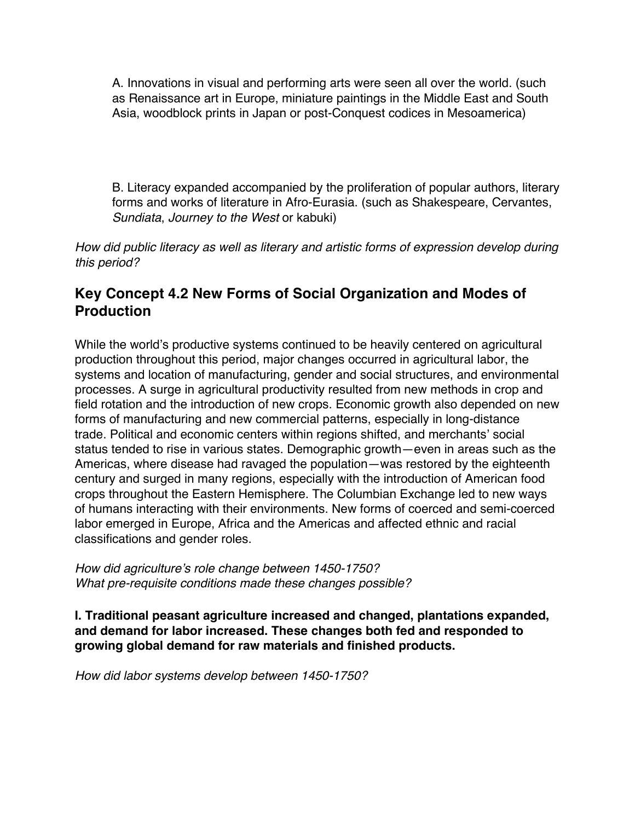A. Innovations in visual and performing arts were seen all over the world. (such as Renaissance art in Europe, miniature paintings in the Middle East and South Asia, woodblock prints in Japan or post-Conquest codices in Mesoamerica)

B. Literacy expanded accompanied by the proliferation of popular authors, literary forms and works of literature in Afro-Eurasia. (such as Shakespeare, Cervantes, *Sundiata*, *Journey to the West* or kabuki)

*How did public literacy as well as literary and artistic forms of expression develop during this period?*

# **Key Concept 4.2 New Forms of Social Organization and Modes of Production**

While the world's productive systems continued to be heavily centered on agricultural production throughout this period, major changes occurred in agricultural labor, the systems and location of manufacturing, gender and social structures, and environmental processes. A surge in agricultural productivity resulted from new methods in crop and field rotation and the introduction of new crops. Economic growth also depended on new forms of manufacturing and new commercial patterns, especially in long-distance trade. Political and economic centers within regions shifted, and merchants' social status tended to rise in various states. Demographic growth—even in areas such as the Americas, where disease had ravaged the population—was restored by the eighteenth century and surged in many regions, especially with the introduction of American food crops throughout the Eastern Hemisphere. The Columbian Exchange led to new ways of humans interacting with their environments. New forms of coerced and semi-coerced labor emerged in Europe, Africa and the Americas and affected ethnic and racial classifications and gender roles.

*How did agriculture's role change between 1450-1750? What pre-requisite conditions made these changes possible?*

**I. Traditional peasant agriculture increased and changed, plantations expanded, and demand for labor increased. These changes both fed and responded to growing global demand for raw materials and finished products.**

*How did labor systems develop between 1450-1750?*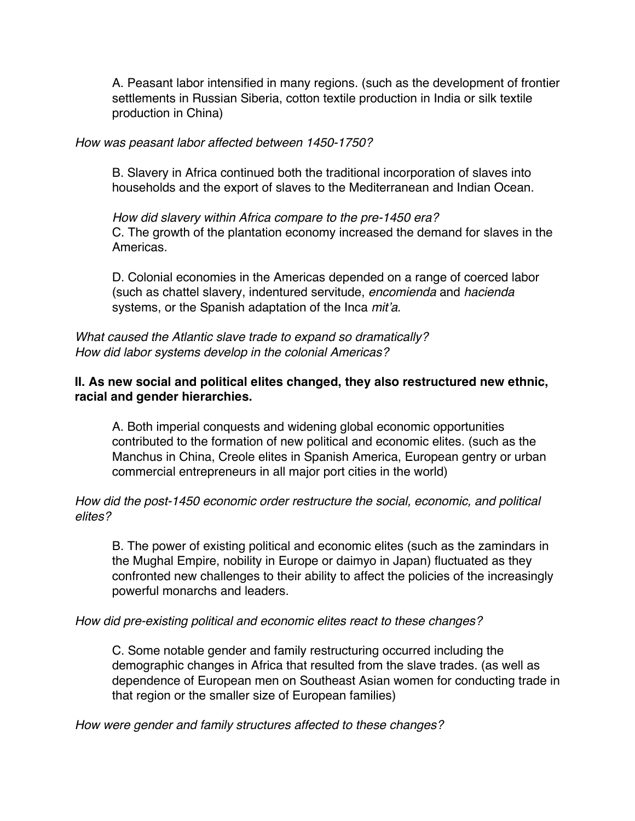A. Peasant labor intensified in many regions. (such as the development of frontier settlements in Russian Siberia, cotton textile production in India or silk textile production in China)

#### *How was peasant labor affected between 1450-1750?*

B. Slavery in Africa continued both the traditional incorporation of slaves into households and the export of slaves to the Mediterranean and Indian Ocean.

*How did slavery within Africa compare to the pre-1450 era?* C. The growth of the plantation economy increased the demand for slaves in the Americas.

D. Colonial economies in the Americas depended on a range of coerced labor (such as chattel slavery, indentured servitude, *encomienda* and *hacienda*  systems, or the Spanish adaptation of the Inca *mit'a*.

*What caused the Atlantic slave trade to expand so dramatically? How did labor systems develop in the colonial Americas?*

#### **II. As new social and political elites changed, they also restructured new ethnic, racial and gender hierarchies.**

A. Both imperial conquests and widening global economic opportunities contributed to the formation of new political and economic elites. (such as the Manchus in China, Creole elites in Spanish America, European gentry or urban commercial entrepreneurs in all major port cities in the world)

#### *How did the post-1450 economic order restructure the social, economic, and political elites?*

B. The power of existing political and economic elites (such as the zamindars in the Mughal Empire, nobility in Europe or daimyo in Japan) fluctuated as they confronted new challenges to their ability to affect the policies of the increasingly powerful monarchs and leaders.

#### *How did pre-existing political and economic elites react to these changes?*

C. Some notable gender and family restructuring occurred including the demographic changes in Africa that resulted from the slave trades. (as well as dependence of European men on Southeast Asian women for conducting trade in that region or the smaller size of European families)

*How were gender and family structures affected to these changes?*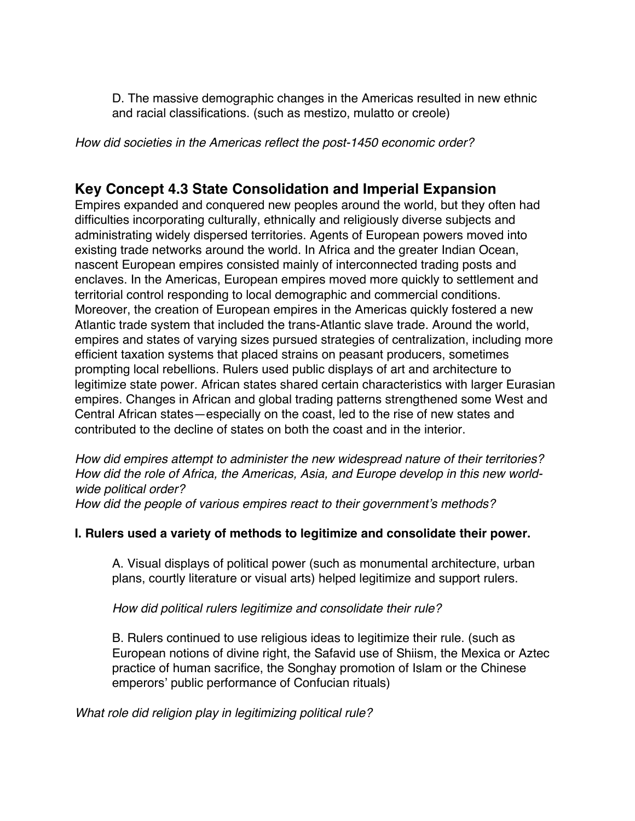D. The massive demographic changes in the Americas resulted in new ethnic and racial classifications. (such as mestizo, mulatto or creole)

*How did societies in the Americas reflect the post-1450 economic order?*

### **Key Concept 4.3 State Consolidation and Imperial Expansion**

Empires expanded and conquered new peoples around the world, but they often had difficulties incorporating culturally, ethnically and religiously diverse subjects and administrating widely dispersed territories. Agents of European powers moved into existing trade networks around the world. In Africa and the greater Indian Ocean, nascent European empires consisted mainly of interconnected trading posts and enclaves. In the Americas, European empires moved more quickly to settlement and territorial control responding to local demographic and commercial conditions. Moreover, the creation of European empires in the Americas quickly fostered a new Atlantic trade system that included the trans-Atlantic slave trade. Around the world, empires and states of varying sizes pursued strategies of centralization, including more efficient taxation systems that placed strains on peasant producers, sometimes prompting local rebellions. Rulers used public displays of art and architecture to legitimize state power. African states shared certain characteristics with larger Eurasian empires. Changes in African and global trading patterns strengthened some West and Central African states—especially on the coast, led to the rise of new states and contributed to the decline of states on both the coast and in the interior.

*How did empires attempt to administer the new widespread nature of their territories? How did the role of Africa, the Americas, Asia, and Europe develop in this new worldwide political order?*

*How did the people of various empires react to their government's methods?*

#### **I. Rulers used a variety of methods to legitimize and consolidate their power.**

A. Visual displays of political power (such as monumental architecture, urban plans, courtly literature or visual arts) helped legitimize and support rulers.

*How did political rulers legitimize and consolidate their rule?*

B. Rulers continued to use religious ideas to legitimize their rule. (such as European notions of divine right, the Safavid use of Shiism, the Mexica or Aztec practice of human sacrifice, the Songhay promotion of Islam or the Chinese emperors' public performance of Confucian rituals)

*What role did religion play in legitimizing political rule?*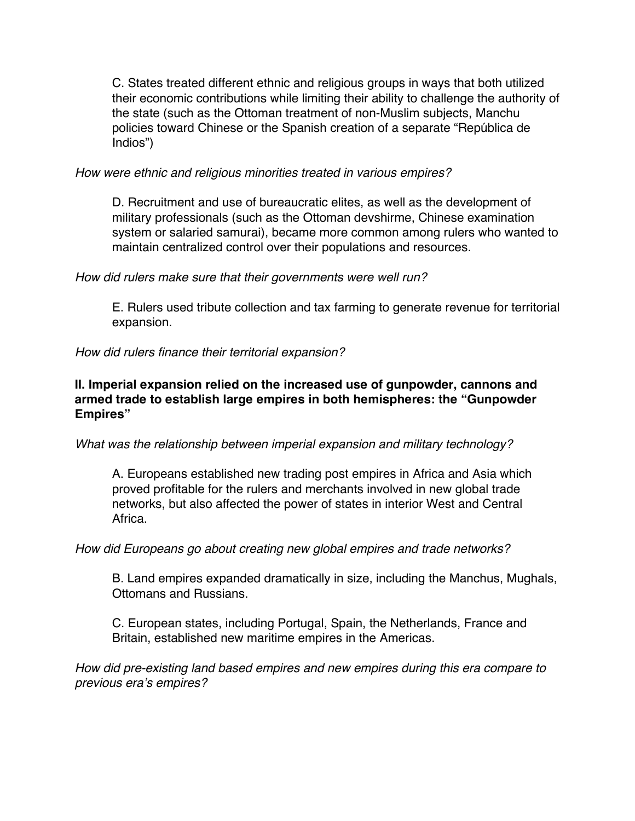C. States treated different ethnic and religious groups in ways that both utilized their economic contributions while limiting their ability to challenge the authority of the state (such as the Ottoman treatment of non-Muslim subjects, Manchu policies toward Chinese or the Spanish creation of a separate "República de Indios")

#### *How were ethnic and religious minorities treated in various empires?*

D. Recruitment and use of bureaucratic elites, as well as the development of military professionals (such as the Ottoman devshirme, Chinese examination system or salaried samurai), became more common among rulers who wanted to maintain centralized control over their populations and resources.

#### *How did rulers make sure that their governments were well run?*

E. Rulers used tribute collection and tax farming to generate revenue for territorial expansion.

*How did rulers finance their territorial expansion?*

#### **II. Imperial expansion relied on the increased use of gunpowder, cannons and armed trade to establish large empires in both hemispheres: the "Gunpowder Empires"**

#### *What was the relationship between imperial expansion and military technology?*

A. Europeans established new trading post empires in Africa and Asia which proved profitable for the rulers and merchants involved in new global trade networks, but also affected the power of states in interior West and Central Africa.

#### *How did Europeans go about creating new global empires and trade networks?*

B. Land empires expanded dramatically in size, including the Manchus, Mughals, Ottomans and Russians.

C. European states, including Portugal, Spain, the Netherlands, France and Britain, established new maritime empires in the Americas.

*How did pre-existing land based empires and new empires during this era compare to previous era's empires?*